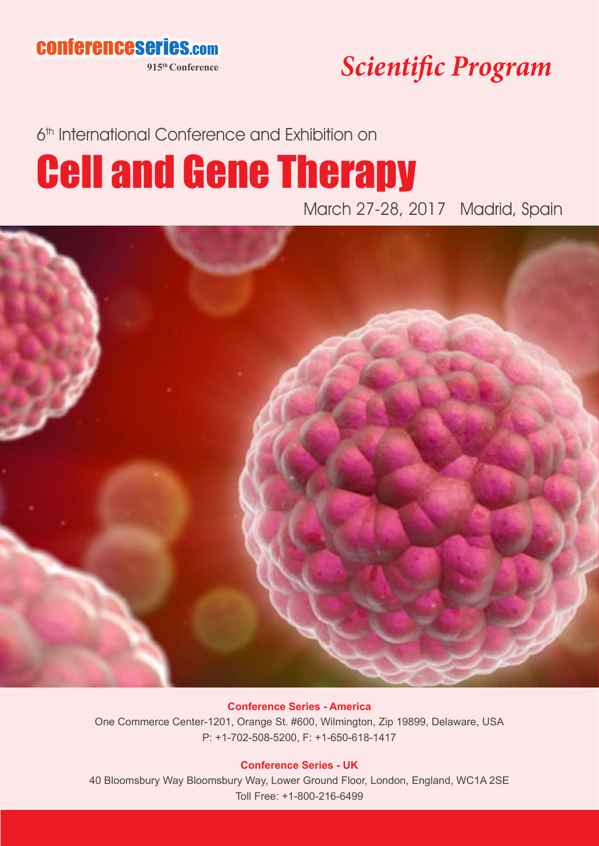conferenceseries.com

**915th Conference**

*Scientific Program*

6<sup>th</sup> International Conference and Exhibition on

# Cell and Gene Therapy

March 27-28, 2017 Madrid, Spain



#### **Conference Series - America**

One Commerce Center-1201, Orange St. #600, Wilmington, Zip 19899, Delaware, USA P: +1-702-508-5200, F: +1-650-618-1417

#### **Conference Series - UK**

40 Bloomsbury Way Bloomsbury Way, Lower Ground Floor, London, England, WC1A 2SE Toll Free: +1-800-216-6499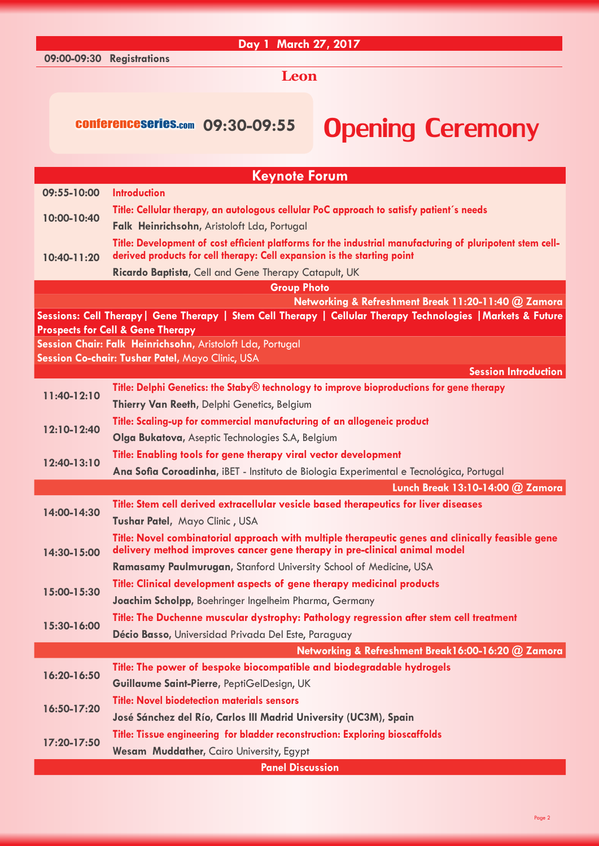#### **Day 1 March 27, 2017**

**09:00-09:30 Registrations**

#### **Leon**

## conferenceseries.com 09:30-09:55 **Opening Ceremony**

| <b>Keynote Forum</b> |                                                                                                                                                                                      |  |
|----------------------|--------------------------------------------------------------------------------------------------------------------------------------------------------------------------------------|--|
| 09:55-10:00          | <b>Introduction</b>                                                                                                                                                                  |  |
| 10:00-10:40          | Title: Cellular therapy, an autologous cellular PoC approach to satisfy patient's needs                                                                                              |  |
|                      | Falk Heinrichsohn, Aristoloft Lda, Portugal                                                                                                                                          |  |
| 10:40-11:20          | Title: Development of cost efficient platforms for the industrial manufacturing of pluripotent stem cell-<br>derived products for cell therapy: Cell expansion is the starting point |  |
|                      | Ricardo Baptista, Cell and Gene Therapy Catapult, UK                                                                                                                                 |  |
| <b>Group Photo</b>   |                                                                                                                                                                                      |  |
|                      | Networking & Refreshment Break 11:20-11:40 @ Zamora                                                                                                                                  |  |
|                      | Sessions: Cell Therapy   Gene Therapy   Stem Cell Therapy   Cellular Therapy Technologies   Markets & Future                                                                         |  |
|                      | <b>Prospects for Cell &amp; Gene Therapy</b><br>Session Chair: Falk Heinrichsohn, Aristoloft Lda, Portugal                                                                           |  |
|                      | Session Co-chair: Tushar Patel, Mayo Clinic, USA                                                                                                                                     |  |
|                      | <b>Session Introduction</b>                                                                                                                                                          |  |
| 11:40-12:10          | Title: Delphi Genetics: the Staby® technology to improve bioproductions for gene therapy                                                                                             |  |
|                      | Thierry Van Reeth, Delphi Genetics, Belgium                                                                                                                                          |  |
| 12:10-12:40          | Title: Scaling-up for commercial manufacturing of an allogeneic product                                                                                                              |  |
|                      | Olga Bukatova, Aseptic Technologies S.A, Belgium                                                                                                                                     |  |
|                      | Title: Enabling tools for gene therapy viral vector development                                                                                                                      |  |
| 12:40-13:10          | Ana Sofia Coroadinha, iBET - Instituto de Biologia Experimental e Tecnológica, Portugal                                                                                              |  |
|                      | Lunch Break 13:10-14:00 @ Zamora                                                                                                                                                     |  |
| 14:00-14:30          | Title: Stem cell derived extracellular vesicle based therapeutics for liver diseases                                                                                                 |  |
|                      | Tushar Patel, Mayo Clinic, USA                                                                                                                                                       |  |
| 14:30-15:00          | Title: Novel combinatorial approach with multiple therapeutic genes and clinically feasible gene<br>delivery method improves cancer gene therapy in pre-clinical animal model        |  |
|                      | Ramasamy Paulmurugan, Stanford University School of Medicine, USA                                                                                                                    |  |
| 15:00-15:30          | Title: Clinical development aspects of gene therapy medicinal products                                                                                                               |  |
|                      | Joachim Scholpp, Boehringer Ingelheim Pharma, Germany                                                                                                                                |  |
| 15:30-16:00          | Title: The Duchenne muscular dystrophy: Pathology regression after stem cell treatment                                                                                               |  |
|                      | Décio Basso, Universidad Privada Del Este, Paraguay                                                                                                                                  |  |
|                      | Networking & Refreshment Break16:00-16:20 @ Zamora                                                                                                                                   |  |
|                      | Title: The power of bespoke biocompatible and biodegradable hydrogels                                                                                                                |  |
| 16:20-16:50          | Guillaume Saint-Pierre, PeptiGelDesign, UK                                                                                                                                           |  |
|                      | <b>Title: Novel biodetection materials sensors</b>                                                                                                                                   |  |
| 16:50-17:20          | José Sánchez del Río, Carlos III Madrid University (UC3M), Spain                                                                                                                     |  |
| 17:20-17:50          | Title: Tissue engineering for bladder reconstruction: Exploring bioscaffolds                                                                                                         |  |
|                      | Wesam Muddather, Cairo University, Egypt                                                                                                                                             |  |
|                      | <b>Panel Discussion</b>                                                                                                                                                              |  |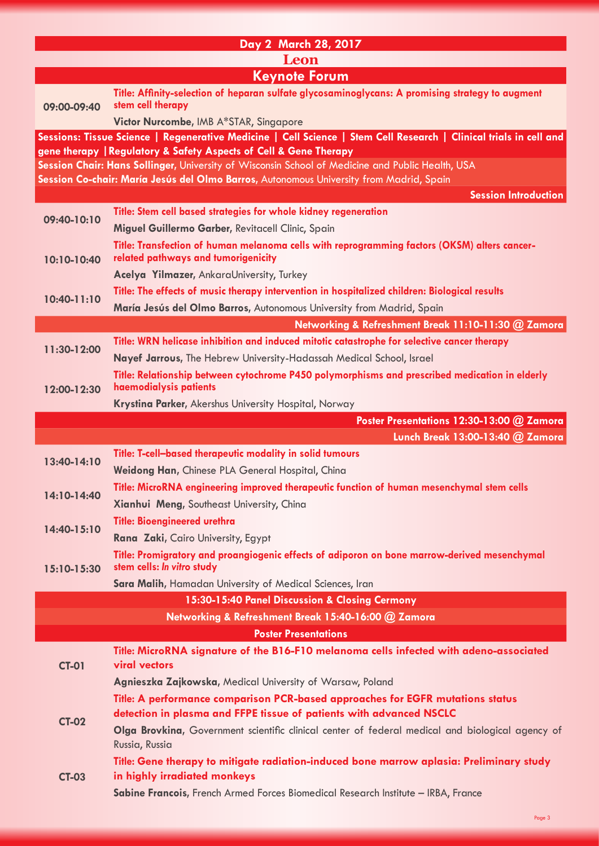| Day 2 March 28, 2017                                                                                                                                                                    |                                                                                                                                                                                                               |  |
|-----------------------------------------------------------------------------------------------------------------------------------------------------------------------------------------|---------------------------------------------------------------------------------------------------------------------------------------------------------------------------------------------------------------|--|
| Leon                                                                                                                                                                                    |                                                                                                                                                                                                               |  |
| <b>Keynote Forum</b>                                                                                                                                                                    |                                                                                                                                                                                                               |  |
| 09:00-09:40                                                                                                                                                                             | Title: Affinity-selection of heparan sulfate glycosaminoglycans: A promising strategy to augment<br>stem cell therapy                                                                                         |  |
|                                                                                                                                                                                         | Victor Nurcombe, IMB A*STAR, Singapore                                                                                                                                                                        |  |
| Sessions: Tissue Science   Regenerative Medicine   Cell Science   Stem Cell Research   Clinical trials in cell and<br>gene therapy   Regulatory & Safety Aspects of Cell & Gene Therapy |                                                                                                                                                                                                               |  |
|                                                                                                                                                                                         | Session Chair: Hans Sollinger, University of Wisconsin School of Medicine and Public Health, USA<br>Session Co-chair: María Jesús del Olmo Barros, Autonomous University from Madrid, Spain                   |  |
|                                                                                                                                                                                         | <b>Session Introduction</b>                                                                                                                                                                                   |  |
| 09:40-10:10                                                                                                                                                                             | Title: Stem cell based strategies for whole kidney regeneration                                                                                                                                               |  |
|                                                                                                                                                                                         | Miguel Guillermo Garber, Revitacell Clinic, Spain                                                                                                                                                             |  |
| 10:10-10:40                                                                                                                                                                             | Title: Transfection of human melanoma cells with reprogramming factors (OKSM) alters cancer-<br>related pathways and tumorigenicity                                                                           |  |
|                                                                                                                                                                                         | Acelya Yilmazer, AnkaraUniversity, Turkey                                                                                                                                                                     |  |
| 10:40-11:10                                                                                                                                                                             | Title: The effects of music therapy intervention in hospitalized children: Biological results                                                                                                                 |  |
|                                                                                                                                                                                         | María Jesús del Olmo Barros, Autonomous University from Madrid, Spain                                                                                                                                         |  |
|                                                                                                                                                                                         | Networking & Refreshment Break 11:10-11:30 @ Zamora                                                                                                                                                           |  |
| 11:30-12:00                                                                                                                                                                             | Title: WRN helicase inhibition and induced mitotic catastrophe for selective cancer therapy                                                                                                                   |  |
|                                                                                                                                                                                         | Nayef Jarrous, The Hebrew University-Hadassah Medical School, Israel                                                                                                                                          |  |
| 12:00-12:30                                                                                                                                                                             | Title: Relationship between cytochrome P450 polymorphisms and prescribed medication in elderly<br>haemodialysis patients                                                                                      |  |
|                                                                                                                                                                                         | Krystina Parker, Akershus University Hospital, Norway                                                                                                                                                         |  |
|                                                                                                                                                                                         | Poster Presentations 12:30-13:00 @ Zamora                                                                                                                                                                     |  |
|                                                                                                                                                                                         |                                                                                                                                                                                                               |  |
|                                                                                                                                                                                         | Lunch Break 13:00-13:40 @ Zamora                                                                                                                                                                              |  |
| 13:40-14:10                                                                                                                                                                             | Title: T-cell-based therapeutic modality in solid tumours                                                                                                                                                     |  |
|                                                                                                                                                                                         | Weidong Han, Chinese PLA General Hospital, China                                                                                                                                                              |  |
| 14:10-14:40                                                                                                                                                                             | Title: MicroRNA engineering improved therapeutic function of human mesenchymal stem cells                                                                                                                     |  |
|                                                                                                                                                                                         | Xianhui Meng, Southeast University, China                                                                                                                                                                     |  |
| 14:40-15:10                                                                                                                                                                             | <b>Title: Bioengineered urethra</b>                                                                                                                                                                           |  |
|                                                                                                                                                                                         | Rana Zaki, Cairo University, Egypt<br>Title: Promigratory and proangiogenic effects of adiporon on bone marrow-derived mesenchymal                                                                            |  |
| 15:10-15:30                                                                                                                                                                             | stem cells: In vitro study                                                                                                                                                                                    |  |
|                                                                                                                                                                                         | Sara Malih, Hamadan University of Medical Sciences, Iran                                                                                                                                                      |  |
|                                                                                                                                                                                         | 15:30-15:40 Panel Discussion & Closing Cermony                                                                                                                                                                |  |
|                                                                                                                                                                                         | Networking & Refreshment Break 15:40-16:00 @ Zamora                                                                                                                                                           |  |
|                                                                                                                                                                                         | <b>Poster Presentations</b>                                                                                                                                                                                   |  |
|                                                                                                                                                                                         | Title: MicroRNA signature of the B16-F10 melanoma cells infected with adeno-associated                                                                                                                        |  |
| <b>CT-01</b>                                                                                                                                                                            | <b>viral vectors</b>                                                                                                                                                                                          |  |
|                                                                                                                                                                                         | Agnieszka Zajkowska, Medical University of Warsaw, Poland                                                                                                                                                     |  |
|                                                                                                                                                                                         | Title: A performance comparison PCR-based approaches for EGFR mutations status<br>detection in plasma and FFPE tissue of patients with advanced NSCLC                                                         |  |
| <b>CT-02</b>                                                                                                                                                                            | Olga Brovkina, Government scientific clinical center of federal medical and biological agency of                                                                                                              |  |
|                                                                                                                                                                                         | Russia, Russia                                                                                                                                                                                                |  |
| <b>CT-03</b>                                                                                                                                                                            | Title: Gene therapy to mitigate radiation-induced bone marrow aplasia: Preliminary study<br>in highly irradiated monkeys<br>Sabine Francois, French Armed Forces Biomedical Research Institute - IRBA, France |  |